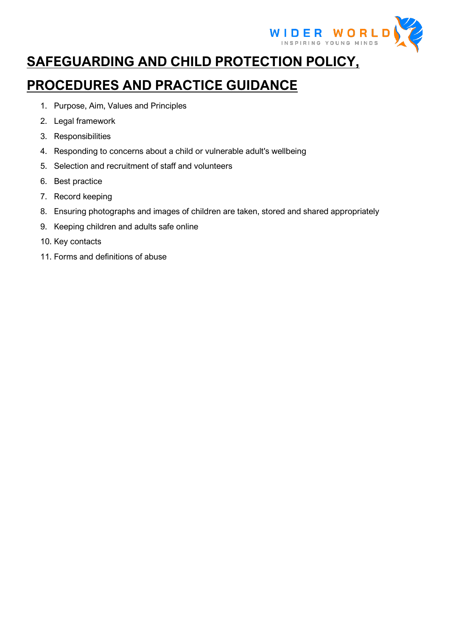

# **SAFEGUARDING AND CHILD PROTECTION POLICY,**

## **PROCEDURES AND PRACTICE GUIDANCE**

- 1. Purpose, Aim, Values and Principles
- 2. Legal framework
- 3. Responsibilities
- 4. Responding to concerns about a child or vulnerable adult's wellbeing
- 5. Selection and recruitment of staff and volunteers
- 6. Best practice
- 7. Record keeping
- 8. Ensuring photographs and images of children are taken, stored and shared appropriately
- 9. Keeping children and adults safe online
- 10. Key contacts
- 11. Forms and definitions of abuse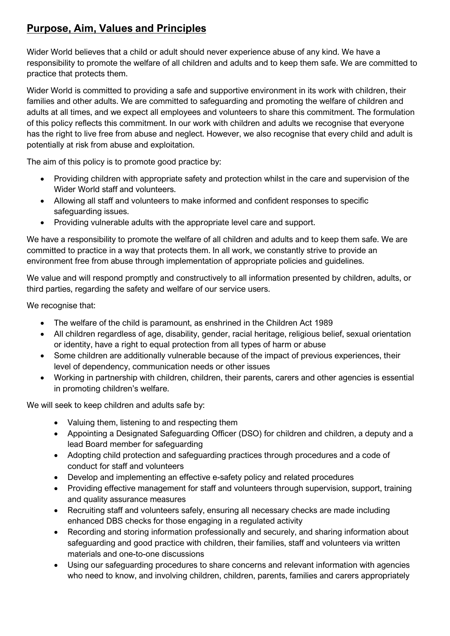## **Purpose, Aim, Values and Principles**

Wider World believes that a child or adult should never experience abuse of any kind. We have a responsibility to promote the welfare of all children and adults and to keep them safe. We are committed to practice that protects them.

Wider World is committed to providing a safe and supportive environment in its work with children, their families and other adults. We are committed to safeguarding and promoting the welfare of children and adults at all times, and we expect all employees and volunteers to share this commitment. The formulation of this policy reflects this commitment. In our work with children and adults we recognise that everyone has the right to live free from abuse and neglect. However, we also recognise that every child and adult is potentially at risk from abuse and exploitation.

The aim of this policy is to promote good practice by:

- Providing children with appropriate safety and protection whilst in the care and supervision of the Wider World staff and volunteers.
- Allowing all staff and volunteers to make informed and confident responses to specific safeguarding issues.
- Providing vulnerable adults with the appropriate level care and support.

We have a responsibility to promote the welfare of all children and adults and to keep them safe. We are committed to practice in a way that protects them. In all work, we constantly strive to provide an environment free from abuse through implementation of appropriate policies and guidelines.

We value and will respond promptly and constructively to all information presented by children, adults, or third parties, regarding the safety and welfare of our service users.

We recognise that:

- The welfare of the child is paramount, as enshrined in the Children Act 1989
- All children regardless of age, disability, gender, racial heritage, religious belief, sexual orientation or identity, have a right to equal protection from all types of harm or abuse
- Some children are additionally vulnerable because of the impact of previous experiences, their level of dependency, communication needs or other issues
- Working in partnership with children, children, their parents, carers and other agencies is essential in promoting children's welfare.

We will seek to keep children and adults safe by:

- Valuing them, listening to and respecting them
- Appointing a Designated Safeguarding Officer (DSO) for children and children, a deputy and a lead Board member for safeguarding
- Adopting child protection and safeguarding practices through procedures and a code of conduct for staff and volunteers
- Develop and implementing an effective e-safety policy and related procedures
- Providing effective management for staff and volunteers through supervision, support, training and quality assurance measures
- Recruiting staff and volunteers safely, ensuring all necessary checks are made including enhanced DBS checks for those engaging in a regulated activity
- Recording and storing information professionally and securely, and sharing information about safeguarding and good practice with children, their families, staff and volunteers via written materials and one-to-one discussions
- Using our safeguarding procedures to share concerns and relevant information with agencies who need to know, and involving children, children, parents, families and carers appropriately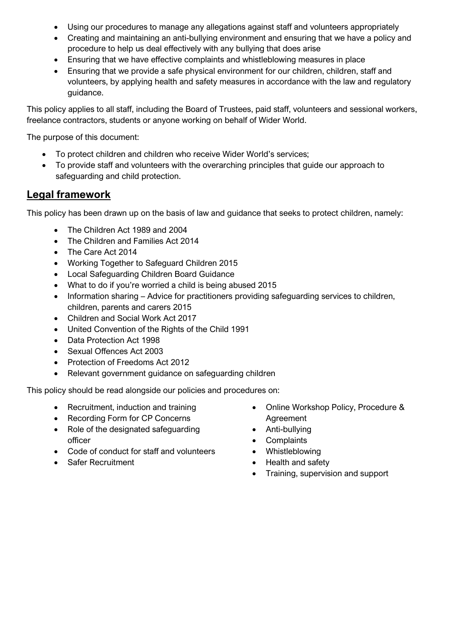- Using our procedures to manage any allegations against staff and volunteers appropriately
- Creating and maintaining an anti-bullying environment and ensuring that we have a policy and procedure to help us deal effectively with any bullying that does arise
- Ensuring that we have effective complaints and whistleblowing measures in place
- Ensuring that we provide a safe physical environment for our children, children, staff and volunteers, by applying health and safety measures in accordance with the law and regulatory guidance.

This policy applies to all staff, including the Board of Trustees, paid staff, volunteers and sessional workers, freelance contractors, students or anyone working on behalf of Wider World.

The purpose of this document:

- To protect children and children who receive Wider World's services;
- To provide staff and volunteers with the overarching principles that guide our approach to safeguarding and child protection.

## **Legal framework**

This policy has been drawn up on the basis of law and guidance that seeks to protect children, namely:

- The Children Act 1989 and 2004
- The Children and Families Act 2014
- The Care Act 2014
- Working Together to Safeguard Children 2015
- Local Safeguarding Children Board Guidance
- What to do if you're worried a child is being abused 2015
- Information sharing Advice for practitioners providing safeguarding services to children, children, parents and carers 2015
- Children and Social Work Act 2017
- United Convention of the Rights of the Child 1991
- Data Protection Act 1998
- Sexual Offences Act 2003
- Protection of Freedoms Act 2012
- Relevant government guidance on safeguarding children

This policy should be read alongside our policies and procedures on:

- Recruitment, induction and training
- Recording Form for CP Concerns
- Role of the designated safeguarding officer
- Code of conduct for staff and volunteers
- Safer Recruitment
- Online Workshop Policy, Procedure & Agreement
- Anti-bullying
- Complaints
- Whistleblowing
- Health and safety
- Training, supervision and support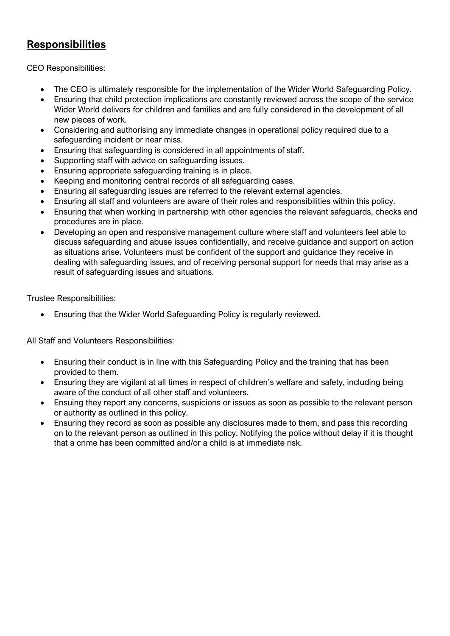## **Responsibilities**

CEO Responsibilities:

- The CEO is ultimately responsible for the implementation of the Wider World Safeguarding Policy.
- Ensuring that child protection implications are constantly reviewed across the scope of the service Wider World delivers for children and families and are fully considered in the development of all new pieces of work.
- Considering and authorising any immediate changes in operational policy required due to a safeguarding incident or near miss.
- Ensuring that safeguarding is considered in all appointments of staff.
- Supporting staff with advice on safeguarding issues.
- Ensuring appropriate safeguarding training is in place.
- Keeping and monitoring central records of all safeguarding cases.
- Ensuring all safeguarding issues are referred to the relevant external agencies.
- Ensuring all staff and volunteers are aware of their roles and responsibilities within this policy.
- Ensuring that when working in partnership with other agencies the relevant safeguards, checks and procedures are in place.
- Developing an open and responsive management culture where staff and volunteers feel able to discuss safeguarding and abuse issues confidentially, and receive guidance and support on action as situations arise. Volunteers must be confident of the support and guidance they receive in dealing with safeguarding issues, and of receiving personal support for needs that may arise as a result of safeguarding issues and situations.

Trustee Responsibilities:

• Ensuring that the Wider World Safeguarding Policy is regularly reviewed.

All Staff and Volunteers Responsibilities:

- Ensuring their conduct is in line with this Safeguarding Policy and the training that has been provided to them.
- Ensuring they are vigilant at all times in respect of children's welfare and safety, including being aware of the conduct of all other staff and volunteers.
- Ensuing they report any concerns, suspicions or issues as soon as possible to the relevant person or authority as outlined in this policy.
- Ensuring they record as soon as possible any disclosures made to them, and pass this recording on to the relevant person as outlined in this policy. Notifying the police without delay if it is thought that a crime has been committed and/or a child is at immediate risk.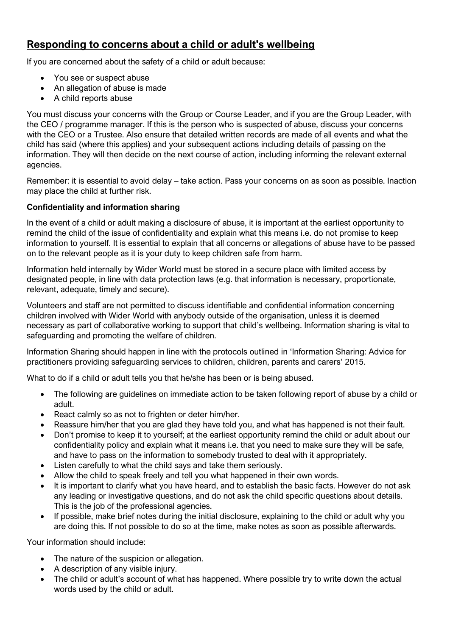## **Responding to concerns about a child or adult's wellbeing**

If you are concerned about the safety of a child or adult because:

- You see or suspect abuse
- An allegation of abuse is made
- A child reports abuse

You must discuss your concerns with the Group or Course Leader, and if you are the Group Leader, with the CEO / programme manager. If this is the person who is suspected of abuse, discuss your concerns with the CEO or a Trustee. Also ensure that detailed written records are made of all events and what the child has said (where this applies) and your subsequent actions including details of passing on the information. They will then decide on the next course of action, including informing the relevant external agencies.

Remember: it is essential to avoid delay – take action. Pass your concerns on as soon as possible. Inaction may place the child at further risk.

### **Confidentiality and information sharing**

In the event of a child or adult making a disclosure of abuse, it is important at the earliest opportunity to remind the child of the issue of confidentiality and explain what this means i.e. do not promise to keep information to yourself. It is essential to explain that all concerns or allegations of abuse have to be passed on to the relevant people as it is your duty to keep children safe from harm.

Information held internally by Wider World must be stored in a secure place with limited access by designated people, in line with data protection laws (e.g. that information is necessary, proportionate, relevant, adequate, timely and secure).

Volunteers and staff are not permitted to discuss identifiable and confidential information concerning children involved with Wider World with anybody outside of the organisation, unless it is deemed necessary as part of collaborative working to support that child's wellbeing. Information sharing is vital to safeguarding and promoting the welfare of children.

Information Sharing should happen in line with the protocols outlined in 'Information Sharing: Advice for practitioners providing safeguarding services to children, children, parents and carers' 2015.

What to do if a child or adult tells you that he/she has been or is being abused.

- The following are guidelines on immediate action to be taken following report of abuse by a child or adult.
- React calmly so as not to frighten or deter him/her.
- Reassure him/her that you are glad they have told you, and what has happened is not their fault.
- Don't promise to keep it to yourself; at the earliest opportunity remind the child or adult about our confidentiality policy and explain what it means i.e. that you need to make sure they will be safe, and have to pass on the information to somebody trusted to deal with it appropriately.
- Listen carefully to what the child says and take them seriously.
- Allow the child to speak freely and tell you what happened in their own words.
- It is important to clarify what you have heard, and to establish the basic facts. However do not ask any leading or investigative questions, and do not ask the child specific questions about details. This is the job of the professional agencies.
- If possible, make brief notes during the initial disclosure, explaining to the child or adult why you are doing this. If not possible to do so at the time, make notes as soon as possible afterwards.

Your information should include:

- The nature of the suspicion or allegation.
- A description of any visible injury.
- The child or adult's account of what has happened. Where possible try to write down the actual words used by the child or adult.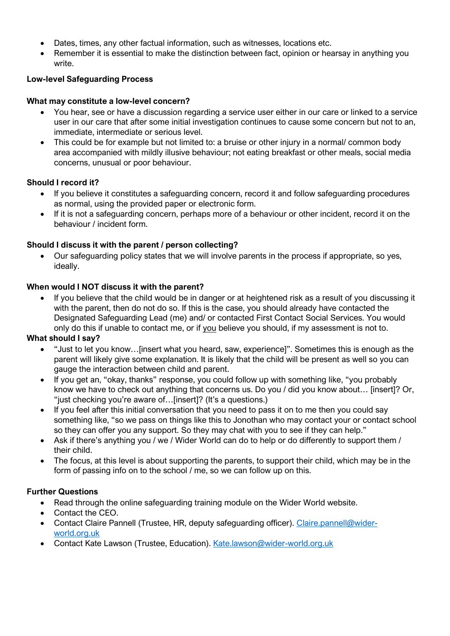- Dates, times, any other factual information, such as witnesses, locations etc.
- Remember it is essential to make the distinction between fact, opinion or hearsay in anything you write.

## **Low-level Safeguarding Process**

#### **What may constitute a low-level concern?**

- You hear, see or have a discussion regarding a service user either in our care or linked to a service user in our care that after some initial investigation continues to cause some concern but not to an, immediate, intermediate or serious level.
- This could be for example but not limited to: a bruise or other injury in a normal/ common body area accompanied with mildly illusive behaviour; not eating breakfast or other meals, social media concerns, unusual or poor behaviour.

### **Should I record it?**

- If you believe it constitutes a safeguarding concern, record it and follow safeguarding procedures as normal, using the provided paper or electronic form.
- If it is not a safeguarding concern, perhaps more of a behaviour or other incident, record it on the behaviour / incident form.

### **Should I discuss it with the parent / person collecting?**

• Our safeguarding policy states that we will involve parents in the process if appropriate, so yes, ideally.

#### **When would I NOT discuss it with the parent?**

• If you believe that the child would be in danger or at heightened risk as a result of you discussing it with the parent, then do not do so. If this is the case, you should already have contacted the Designated Safeguarding Lead (me) and/ or contacted First Contact Social Services. You would only do this if unable to contact me, or if you believe you should, if my assessment is not to.

#### **What should I say?**

- "Just to let you know…[insert what you heard, saw, experience]". Sometimes this is enough as the parent will likely give some explanation. It is likely that the child will be present as well so you can gauge the interaction between child and parent.
- If you get an, "okay, thanks" response, you could follow up with something like, "you probably know we have to check out anything that concerns us. Do you / did you know about… [insert]? Or, "just checking you're aware of…[insert]? (It's a questions.)
- If you feel after this initial conversation that you need to pass it on to me then you could say something like, "so we pass on things like this to Jonothan who may contact your or contact school so they can offer you any support. So they may chat with you to see if they can help."
- Ask if there's anything you / we / Wider World can do to help or do differently to support them / their child.
- The focus, at this level is about supporting the parents, to support their child, which may be in the form of passing info on to the school / me, so we can follow up on this.

#### **Further Questions**

- Read through the online safeguarding training module on the Wider World website.
- Contact the CEO.
- Contact Claire Pannell (Trustee, HR, deputy safeguarding officer). [Claire.pannell@wider](mailto:Claire.pannell@wider-world.org.uk)[world.org.uk](mailto:Claire.pannell@wider-world.org.uk)
- Contact Kate Lawson (Trustee, Education). [Kate.lawson@wider-world.org.uk](mailto:Kate.lawson@wider-world.org.uk)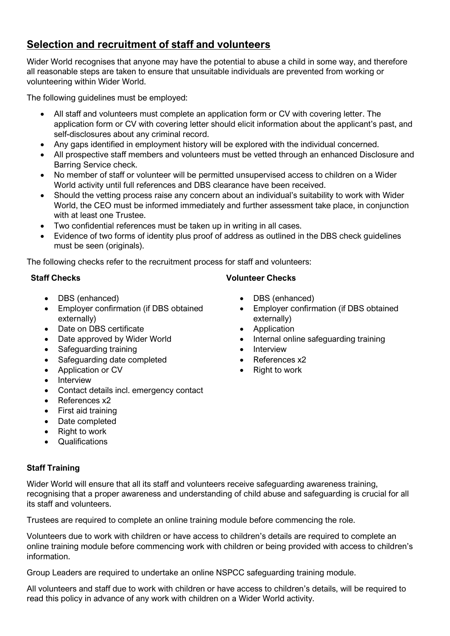## **Selection and recruitment of staff and volunteers**

Wider World recognises that anyone may have the potential to abuse a child in some way, and therefore all reasonable steps are taken to ensure that unsuitable individuals are prevented from working or volunteering within Wider World.

The following guidelines must be employed:

- All staff and volunteers must complete an application form or CV with covering letter. The application form or CV with covering letter should elicit information about the applicant's past, and self-disclosures about any criminal record.
- Any gaps identified in employment history will be explored with the individual concerned.
- All prospective staff members and volunteers must be vetted through an enhanced Disclosure and Barring Service check.
- No member of staff or volunteer will be permitted unsupervised access to children on a Wider World activity until full references and DBS clearance have been received.
- Should the vetting process raise any concern about an individual's suitability to work with Wider World, the CEO must be informed immediately and further assessment take place, in conjunction with at least one Trustee.
- Two confidential references must be taken up in writing in all cases.
- Evidence of two forms of identity plus proof of address as outlined in the DBS check guidelines must be seen (originals).

The following checks refer to the recruitment process for staff and volunteers:

### **Staff Checks**

- DBS (enhanced)
- Employer confirmation (if DBS obtained externally)
- Date on DBS certificate
- Date approved by Wider World
- Safeguarding training
- Safeguarding date completed
- Application or CV
- Interview
- Contact details incl. emergency contact
- References x2
- First aid training
- Date completed
- Right to work
- Qualifications

## **Staff Training**

Wider World will ensure that all its staff and volunteers receive safeguarding awareness training, recognising that a proper awareness and understanding of child abuse and safeguarding is crucial for all its staff and volunteers.

Trustees are required to complete an online training module before commencing the role.

Volunteers due to work with children or have access to children's details are required to complete an online training module before commencing work with children or being provided with access to children's information.

Group Leaders are required to undertake an online NSPCC safeguarding training module.

All volunteers and staff due to work with children or have access to children's details, will be required to read this policy in advance of any work with children on a Wider World activity.

## **Volunteer Checks**

- DBS (enhanced)
- Employer confirmation (if DBS obtained externally)
- Application
- Internal online safeguarding training
- **Interview**
- References x2
- Right to work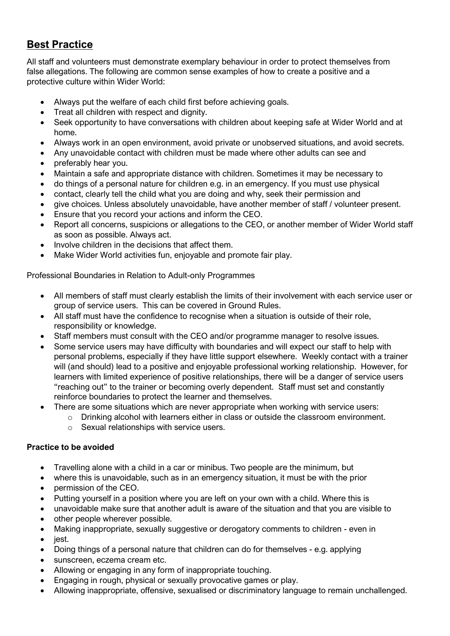## **Best Practice**

All staff and volunteers must demonstrate exemplary behaviour in order to protect themselves from false allegations. The following are common sense examples of how to create a positive and a protective culture within Wider World:

- Always put the welfare of each child first before achieving goals.
- Treat all children with respect and dignity.
- Seek opportunity to have conversations with children about keeping safe at Wider World and at home.
- Always work in an open environment, avoid private or unobserved situations, and avoid secrets.
- Any unavoidable contact with children must be made where other adults can see and
- preferably hear you.
- Maintain a safe and appropriate distance with children. Sometimes it may be necessary to
- do things of a personal nature for children e.g. in an emergency. If you must use physical
- contact, clearly tell the child what you are doing and why, seek their permission and
- give choices. Unless absolutely unavoidable, have another member of staff / volunteer present.
- Ensure that you record your actions and inform the CEO.
- Report all concerns, suspicions or allegations to the CEO, or another member of Wider World staff as soon as possible. Always act.
- Involve children in the decisions that affect them.
- Make Wider World activities fun, enjoyable and promote fair play.

Professional Boundaries in Relation to Adult-only Programmes

- All members of staff must clearly establish the limits of their involvement with each service user or group of service users. This can be covered in Ground Rules.
- All staff must have the confidence to recognise when a situation is outside of their role, responsibility or knowledge.
- Staff members must consult with the CEO and/or programme manager to resolve issues.
- Some service users may have difficulty with boundaries and will expect our staff to help with personal problems, especially if they have little support elsewhere. Weekly contact with a trainer will (and should) lead to a positive and enjoyable professional working relationship. However, for learners with limited experience of positive relationships, there will be a danger of service users "reaching out" to the trainer or becoming overly dependent. Staff must set and constantly reinforce boundaries to protect the learner and themselves.
- There are some situations which are never appropriate when working with service users:
	- o Drinking alcohol with learners either in class or outside the classroom environment.
		- o Sexual relationships with service users.

## **Practice to be avoided**

- Travelling alone with a child in a car or minibus. Two people are the minimum, but
- where this is unavoidable, such as in an emergency situation, it must be with the prior
- permission of the CEO.
- Putting yourself in a position where you are left on your own with a child. Where this is
- unavoidable make sure that another adult is aware of the situation and that you are visible to
- other people wherever possible.
- Making inappropriate, sexually suggestive or derogatory comments to children even in
- iest.
- Doing things of a personal nature that children can do for themselves e.g. applying
- sunscreen, eczema cream etc.
- Allowing or engaging in any form of inappropriate touching.
- Engaging in rough, physical or sexually provocative games or play.
- Allowing inappropriate, offensive, sexualised or discriminatory language to remain unchallenged.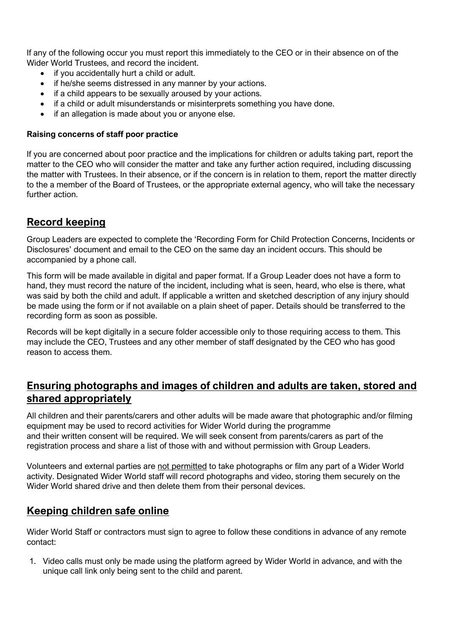If any of the following occur you must report this immediately to the CEO or in their absence on of the Wider World Trustees, and record the incident.

- if you accidentally hurt a child or adult.
- if he/she seems distressed in any manner by your actions.
- if a child appears to be sexually aroused by your actions.
- if a child or adult misunderstands or misinterprets something you have done.
- if an allegation is made about you or anyone else.

#### **Raising concerns of staff poor practice**

If you are concerned about poor practice and the implications for children or adults taking part, report the matter to the CEO who will consider the matter and take any further action required, including discussing the matter with Trustees. In their absence, or if the concern is in relation to them, report the matter directly to the a member of the Board of Trustees, or the appropriate external agency, who will take the necessary further action.

## **Record keeping**

Group Leaders are expected to complete the 'Recording Form for Child Protection Concerns, Incidents or Disclosures' document and email to the CEO on the same day an incident occurs. This should be accompanied by a phone call.

This form will be made available in digital and paper format. If a Group Leader does not have a form to hand, they must record the nature of the incident, including what is seen, heard, who else is there, what was said by both the child and adult. If applicable a written and sketched description of any injury should be made using the form or if not available on a plain sheet of paper. Details should be transferred to the recording form as soon as possible.

Records will be kept digitally in a secure folder accessible only to those requiring access to them. This may include the CEO, Trustees and any other member of staff designated by the CEO who has good reason to access them.

## **Ensuring photographs and images of children and adults are taken, stored and shared appropriately**

All children and their parents/carers and other adults will be made aware that photographic and/or filming equipment may be used to record activities for Wider World during the programme and their written consent will be required. We will seek consent from parents/carers as part of the registration process and share a list of those with and without permission with Group Leaders.

Volunteers and external parties are not permitted to take photographs or film any part of a Wider World activity. Designated Wider World staff will record photographs and video, storing them securely on the Wider World shared drive and then delete them from their personal devices.

## **Keeping children safe online**

Wider World Staff or contractors must sign to agree to follow these conditions in advance of any remote contact:

1. Video calls must only be made using the platform agreed by Wider World in advance, and with the unique call link only being sent to the child and parent.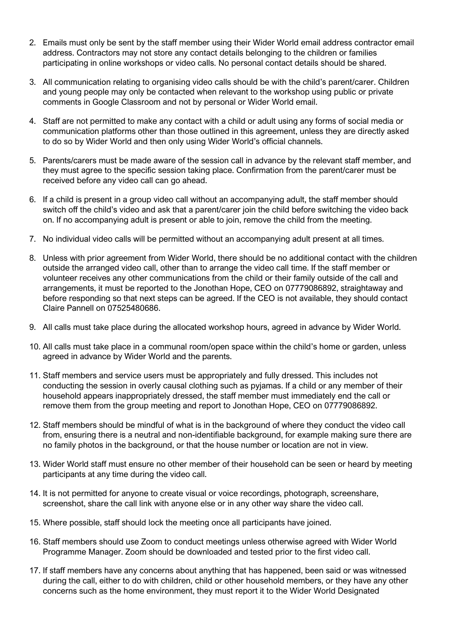- 2. Emails must only be sent by the staff member using their Wider World email address contractor email address. Contractors may not store any contact details belonging to the children or families participating in online workshops or video calls. No personal contact details should be shared.
- 3. All communication relating to organising video calls should be with the child's parent/carer. Children and young people may only be contacted when relevant to the workshop using public or private comments in Google Classroom and not by personal or Wider World email.
- 4. Staff are not permitted to make any contact with a child or adult using any forms of social media or communication platforms other than those outlined in this agreement, unless they are directly asked to do so by Wider World and then only using Wider World's official channels.
- 5. Parents/carers must be made aware of the session call in advance by the relevant staff member, and they must agree to the specific session taking place. Confirmation from the parent/carer must be received before any video call can go ahead.
- 6. If a child is present in a group video call without an accompanying adult, the staff member should switch off the child's video and ask that a parent/carer join the child before switching the video back on. If no accompanying adult is present or able to join, remove the child from the meeting.
- 7. No individual video calls will be permitted without an accompanying adult present at all times.
- 8. Unless with prior agreement from Wider World, there should be no additional contact with the children outside the arranged video call, other than to arrange the video call time. If the staff member or volunteer receives any other communications from the child or their family outside of the call and arrangements, it must be reported to the Jonothan Hope, CEO on 07779086892, straightaway and before responding so that next steps can be agreed. If the CEO is not available, they should contact Claire Pannell on 07525480686.
- 9. All calls must take place during the allocated workshop hours, agreed in advance by Wider World.
- 10. All calls must take place in a communal room/open space within the child's home or garden, unless agreed in advance by Wider World and the parents.
- 11. Staff members and service users must be appropriately and fully dressed. This includes not conducting the session in overly causal clothing such as pyjamas. If a child or any member of their household appears inappropriately dressed, the staff member must immediately end the call or remove them from the group meeting and report to Jonothan Hope, CEO on 07779086892.
- 12. Staff members should be mindful of what is in the background of where they conduct the video call from, ensuring there is a neutral and non-identifiable background, for example making sure there are no family photos in the background, or that the house number or location are not in view.
- 13. Wider World staff must ensure no other member of their household can be seen or heard by meeting participants at any time during the video call.
- 14. It is not permitted for anyone to create visual or voice recordings, photograph, screenshare, screenshot, share the call link with anyone else or in any other way share the video call.
- 15. Where possible, staff should lock the meeting once all participants have joined.
- 16. Staff members should use Zoom to conduct meetings unless otherwise agreed with Wider World Programme Manager. Zoom should be downloaded and tested prior to the first video call.
- 17. If staff members have any concerns about anything that has happened, been said or was witnessed during the call, either to do with children, child or other household members, or they have any other concerns such as the home environment, they must report it to the Wider World Designated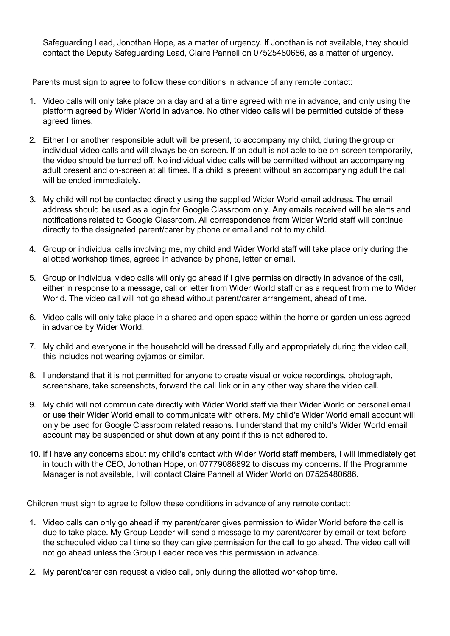Safeguarding Lead, Jonothan Hope, as a matter of urgency. If Jonothan is not available, they should contact the Deputy Safeguarding Lead, Claire Pannell on 07525480686, as a matter of urgency.

Parents must sign to agree to follow these conditions in advance of any remote contact:

- 1. Video calls will only take place on a day and at a time agreed with me in advance, and only using the platform agreed by Wider World in advance. No other video calls will be permitted outside of these agreed times.
- 2. Either I or another responsible adult will be present, to accompany my child, during the group or individual video calls and will always be on-screen. If an adult is not able to be on-screen temporarily, the video should be turned off. No individual video calls will be permitted without an accompanying adult present and on-screen at all times. If a child is present without an accompanying adult the call will be ended immediately.
- 3. My child will not be contacted directly using the supplied Wider World email address. The email address should be used as a login for Google Classroom only. Any emails received will be alerts and notifications related to Google Classroom. All correspondence from Wider World staff will continue directly to the designated parent/carer by phone or email and not to my child.
- 4. Group or individual calls involving me, my child and Wider World staff will take place only during the allotted workshop times, agreed in advance by phone, letter or email.
- 5. Group or individual video calls will only go ahead if I give permission directly in advance of the call, either in response to a message, call or letter from Wider World staff or as a request from me to Wider World. The video call will not go ahead without parent/carer arrangement, ahead of time.
- 6. Video calls will only take place in a shared and open space within the home or garden unless agreed in advance by Wider World.
- 7. My child and everyone in the household will be dressed fully and appropriately during the video call, this includes not wearing pyjamas or similar.
- 8. I understand that it is not permitted for anyone to create visual or voice recordings, photograph, screenshare, take screenshots, forward the call link or in any other way share the video call.
- 9. My child will not communicate directly with Wider World staff via their Wider World or personal email or use their Wider World email to communicate with others. My child's Wider World email account will only be used for Google Classroom related reasons. I understand that my child's Wider World email account may be suspended or shut down at any point if this is not adhered to.
- 10. If I have any concerns about my child's contact with Wider World staff members, I will immediately get in touch with the CEO, Jonothan Hope, on 07779086892 to discuss my concerns. If the Programme Manager is not available, I will contact Claire Pannell at Wider World on 07525480686.

Children must sign to agree to follow these conditions in advance of any remote contact:

- 1. Video calls can only go ahead if my parent/carer gives permission to Wider World before the call is due to take place. My Group Leader will send a message to my parent/carer by email or text before the scheduled video call time so they can give permission for the call to go ahead. The video call will not go ahead unless the Group Leader receives this permission in advance.
- 2. My parent/carer can request a video call, only during the allotted workshop time.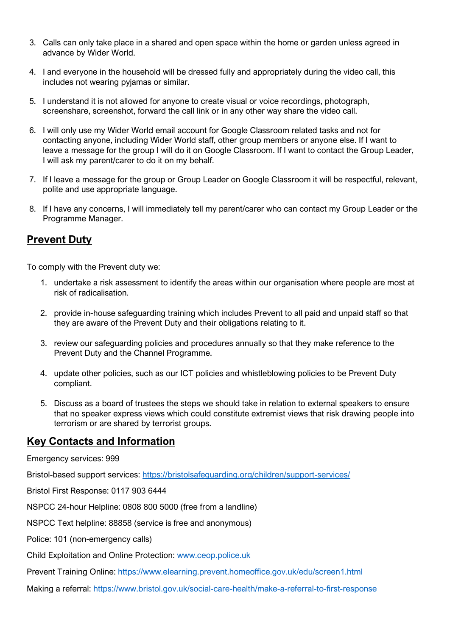- 3. Calls can only take place in a shared and open space within the home or garden unless agreed in advance by Wider World.
- 4. I and everyone in the household will be dressed fully and appropriately during the video call, this includes not wearing pyjamas or similar.
- 5. I understand it is not allowed for anyone to create visual or voice recordings, photograph, screenshare, screenshot, forward the call link or in any other way share the video call.
- 6. I will only use my Wider World email account for Google Classroom related tasks and not for contacting anyone, including Wider World staff, other group members or anyone else. If I want to leave a message for the group I will do it on Google Classroom. If I want to contact the Group Leader, I will ask my parent/carer to do it on my behalf.
- 7. If I leave a message for the group or Group Leader on Google Classroom it will be respectful, relevant, polite and use appropriate language.
- 8. If I have any concerns, I will immediately tell my parent/carer who can contact my Group Leader or the Programme Manager.

## **Prevent Duty**

To comply with the Prevent duty we:

- 1. undertake a risk assessment to identify the areas within our organisation where people are most at risk of radicalisation.
- 2. provide in-house safeguarding training which includes Prevent to all paid and unpaid staff so that they are aware of the Prevent Duty and their obligations relating to it.
- 3. review our safeguarding policies and procedures annually so that they make reference to the Prevent Duty and the Channel Programme.
- 4. update other policies, such as our ICT policies and whistleblowing policies to be Prevent Duty compliant.
- 5. Discuss as a board of trustees the steps we should take in relation to external speakers to ensure that no speaker express views which could constitute extremist views that risk drawing people into terrorism or are shared by terrorist groups.

## **Key Contacts and Information**

Emergency services: 999

Bristol-based support services:<https://bristolsafeguarding.org/children/support-services/>

Bristol First Response: 0117 903 6444

NSPCC 24-hour Helpline: 0808 800 5000 (free from a landline)

NSPCC Text helpline: 88858 (service is free and anonymous)

Police: 101 (non-emergency calls)

Child Exploitation and Online Protection: [www.ceop.police.uk](http://www.ceop.police.uk/)

Prevent Training Online: https://www.elearning.prevent.homeoffice.gov.uk/edu/screen1.html

Making a referral:<https://www.bristol.gov.uk/social-care-health/make-a-referral-to-first-response>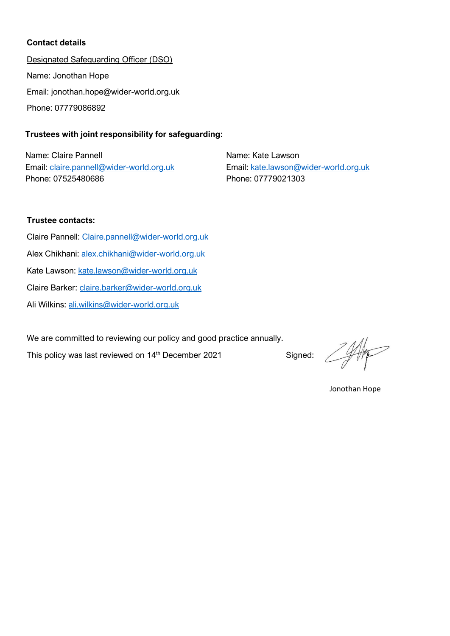#### **Contact details**

Designated Safeguarding Officer (DSO) Name: Jonothan Hope Email: jonothan.hope@wider-world.org.uk Phone: 07779086892

## **Trustees with joint responsibility for safeguarding:**

Name: Claire Pannell Email: [claire.pannell@wider-world.org.uk](mailto:claire.pannell@wider-world.org.uk) Phone: 07525480686

Name: Kate Lawson Email: [kate.lawson@wider-world.org.uk](mailto:kate.lawson@wider-world.org.uk) Phone: 07779021303

#### **Trustee contacts:**

Claire Pannell: [Claire.pannell@wider-world.org.uk](mailto:Claire.pannell@wider-world.org.uk) Alex Chikhani: [alex.chikhani@wider-world.org.uk](mailto:alex.chikhani@wider-world.org.uk) Kate Lawson: [kate.lawson@wider-world.org.uk](mailto:kate.lawson@wider-world.org.uk) Claire Barker: [claire.barker@wider-world.org.uk](mailto:claire.barker@wider-world.org.uk) Ali Wilkins: [ali.wilkins@wider-world.org.uk](mailto:ali.wilkins@wider-world.org.uk)

We are committed to reviewing our policy and good practice annually.

This policy was last reviewed on 14<sup>th</sup> December 2021 Signed:

Jonothan Hope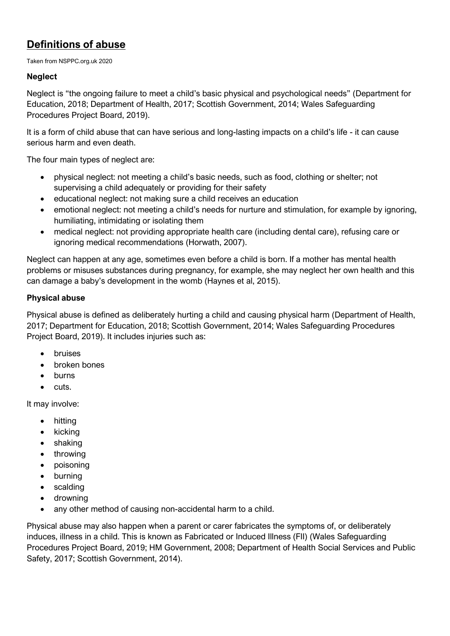## **Definitions of abuse**

Taken from NSPPC.org.uk 2020

## **Neglect**

Neglect is "the ongoing failure to meet a child's basic physical and psychological needs" (Department for Education, 2018; Department of Health, 2017; Scottish Government, 2014; Wales Safeguarding Procedures Project Board, 2019).

It is a form of child abuse that can have serious and long-lasting impacts on a child's life - it can cause serious harm and even death.

The four main types of neglect are:

- physical neglect: not meeting a child's basic needs, such as food, clothing or shelter; not supervising a child adequately or providing for their safety
- educational neglect: not making sure a child receives an education
- emotional neglect: not meeting a child's needs for nurture and stimulation, for example by ignoring, humiliating, intimidating or isolating them
- medical neglect: not providing appropriate health care (including dental care), refusing care or ignoring medical recommendations (Horwath, 2007).

Neglect can happen at any age, sometimes even before a child is born. If a mother has mental health problems or misuses substances during pregnancy, for example, she may neglect her own health and this can damage a baby's development in the womb (Haynes et al, 2015).

## **Physical abuse**

Physical abuse is defined as deliberately hurting a child and causing physical harm (Department of Health, 2017; Department for Education, 2018; Scottish Government, 2014; Wales Safeguarding Procedures Project Board, 2019). It includes injuries such as:

- bruises
- broken bones
- burns
- cuts.

It may involve:

- hitting
- kicking
- shaking
- throwing
- poisoning
- burning
- scalding
- drowning
- any other method of causing non-accidental harm to a child.

Physical abuse may also happen when a parent or carer fabricates the symptoms of, or deliberately induces, illness in a child. This is known as Fabricated or Induced Illness (FII) (Wales Safeguarding Procedures Project Board, 2019; HM Government, 2008; Department of Health Social Services and Public Safety, 2017; Scottish Government, 2014).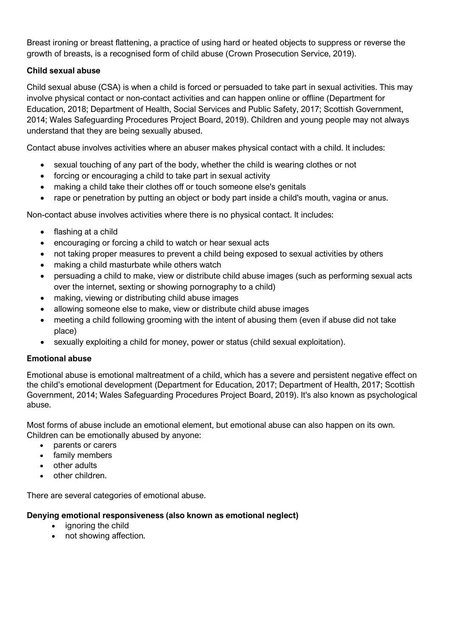Breast ironing or breast flattening, a practice of using hard or heated objects to suppress or reverse the growth of breasts, is a recognised form of child abuse (Crown Prosecution Service, 2019).

## **Child sexual abuse**

Child sexual abuse (CSA) is when a child is forced or persuaded to take part in sexual activities. This may involve physical contact or non-contact activities and can happen online or offline (Department for Education, 2018; Department of Health, Social Services and Public Safety, 2017; Scottish Government, 2014; Wales Safeguarding Procedures Project Board, 2019). Children and young people may not always understand that they are being sexually abused.

Contact abuse involves activities where an abuser makes physical contact with a child. It includes:

- sexual touching of any part of the body, whether the child is wearing clothes or not
- forcing or encouraging a child to take part in sexual activity
- making a child take their clothes off or touch someone else's genitals
- rape or penetration by putting an object or body part inside a child's mouth, vagina or anus.

Non-contact abuse involves activities where there is no physical contact. It includes:

- flashing at a child
- encouraging or forcing a child to watch or hear sexual acts
- not taking proper measures to prevent a child being exposed to sexual activities by others
- making a child masturbate while others watch
- persuading a child to make, view or distribute child abuse images (such as performing sexual acts over the internet, sexting or showing pornography to a child)
- making, viewing or distributing child abuse images
- allowing someone else to make, view or distribute child abuse images
- meeting a child following grooming with the intent of abusing them (even if abuse did not take place)
- sexually exploiting a child for money, power or status (child sexual exploitation).

## **Emotional abuse**

Emotional abuse is emotional maltreatment of a child, which has a severe and persistent negative effect on the child's emotional development (Department for Education, 2017; Department of Health, 2017; Scottish Government, 2014; Wales Safeguarding Procedures Project Board, 2019). It's also known as psychological abuse.

Most forms of abuse include an emotional element, but emotional abuse can also happen on its own. Children can be emotionally abused by anyone:

- parents or carers
- family members
- other adults
- other children.

There are several categories of emotional abuse.

## **Denying emotional responsiveness (also known as emotional neglect)**

- ignoring the child
- not showing affection.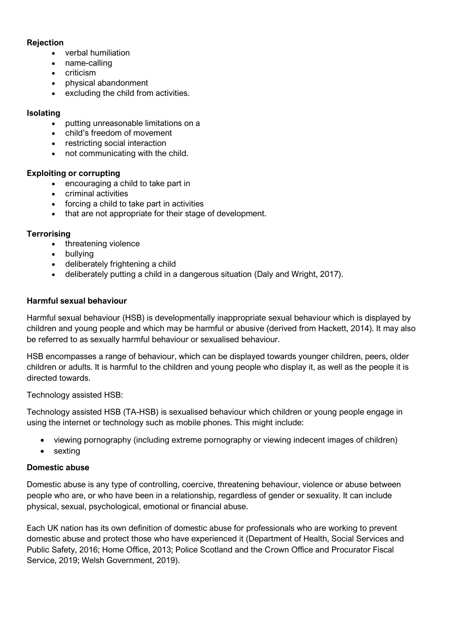#### **Rejection**

- verbal humiliation
- name-calling
- criticism
- physical abandonment
- excluding the child from activities.

## **Isolating**

- putting unreasonable limitations on a
- child's freedom of movement
- restricting social interaction
- not communicating with the child.

## **Exploiting or corrupting**

- encouraging a child to take part in
- criminal activities
- forcing a child to take part in activities
- that are not appropriate for their stage of development.

## **Terrorising**

- threatening violence
- bullying
- deliberately frightening a child
- deliberately putting a child in a dangerous situation (Daly and Wright, 2017).

## **Harmful sexual behaviour**

Harmful sexual behaviour (HSB) is developmentally inappropriate sexual behaviour which is displayed by children and young people and which may be harmful or abusive (derived from Hackett, 2014). It may also be referred to as sexually harmful behaviour or sexualised behaviour.

HSB encompasses a range of behaviour, which can be displayed towards younger children, peers, older children or adults. It is harmful to the children and young people who display it, as well as the people it is directed towards.

Technology assisted HSB:

Technology assisted HSB (TA-HSB) is sexualised behaviour which children or young people engage in using the internet or technology such as mobile phones. This might include:

- viewing pornography (including extreme pornography or viewing indecent images of children)
- sexting

## **Domestic abuse**

Domestic abuse is any type of controlling, coercive, threatening behaviour, violence or abuse between people who are, or who have been in a relationship, regardless of gender or sexuality. It can include physical, sexual, psychological, emotional or financial abuse.

Each UK nation has its own definition of domestic abuse for professionals who are working to prevent domestic abuse and protect those who have experienced it (Department of Health, Social Services and Public Safety, 2016; Home Office, 2013; Police Scotland and the Crown Office and Procurator Fiscal Service, 2019; Welsh Government, 2019).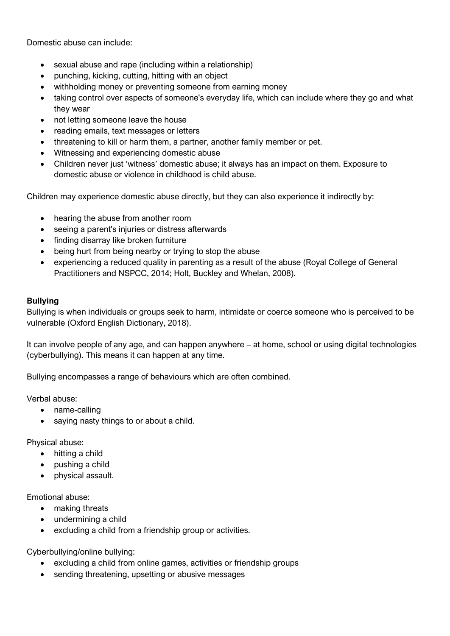Domestic abuse can include:

- sexual abuse and rape (including within a relationship)
- punching, kicking, cutting, hitting with an object
- withholding money or preventing someone from earning money
- taking control over aspects of someone's everyday life, which can include where they go and what they wear
- not letting someone leave the house
- reading emails, text messages or letters
- threatening to kill or harm them, a partner, another family member or pet.
- Witnessing and experiencing domestic abuse
- Children never just 'witness' domestic abuse; it always has an impact on them. Exposure to domestic abuse or violence in childhood is child abuse.

Children may experience domestic abuse directly, but they can also experience it indirectly by:

- hearing the abuse from another room
- seeing a parent's injuries or distress afterwards
- finding disarray like broken furniture
- being hurt from being nearby or trying to stop the abuse
- experiencing a reduced quality in parenting as a result of the abuse (Royal College of General Practitioners and NSPCC, 2014; Holt, Buckley and Whelan, 2008).

#### **Bullying**

Bullying is when individuals or groups seek to harm, intimidate or coerce someone who is perceived to be vulnerable (Oxford English Dictionary, 2018).

It can involve people of any age, and can happen anywhere – at home, school or using digital technologies (cyberbullying). This means it can happen at any time.

Bullying encompasses a range of behaviours which are often combined.

Verbal abuse:

- name-calling
- saying nasty things to or about a child.

Physical abuse:

- hitting a child
- pushing a child
- physical assault.

Emotional abuse:

- making threats
- undermining a child
- excluding a child from a friendship group or activities.

Cyberbullying/online bullying:

- excluding a child from online games, activities or friendship groups
- sending threatening, upsetting or abusive messages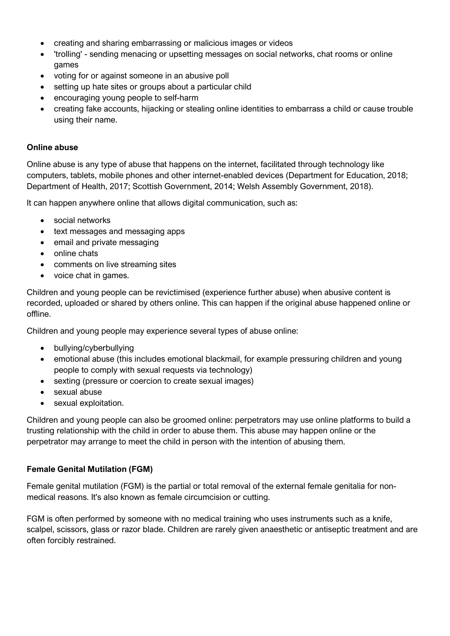- creating and sharing embarrassing or malicious images or videos
- Itrolling' sending menacing or upsetting messages on social networks, chat rooms or online games
- voting for or against someone in an abusive poll
- setting up hate sites or groups about a particular child
- encouraging young people to self-harm
- creating fake accounts, hijacking or stealing online identities to embarrass a child or cause trouble using their name.

## **Online abuse**

Online abuse is any type of abuse that happens on the internet, facilitated through technology like computers, tablets, mobile phones and other internet-enabled devices (Department for Education, 2018; Department of Health, 2017; Scottish Government, 2014; Welsh Assembly Government, 2018).

It can happen anywhere online that allows digital communication, such as:

- social networks
- text messages and messaging apps
- email and private messaging
- online chats
- comments on live streaming sites
- voice chat in games.

Children and young people can be revictimised (experience further abuse) when abusive content is recorded, uploaded or shared by others online. This can happen if the original abuse happened online or offline.

Children and young people may experience several types of abuse online:

- bullying/cyberbullying
- emotional abuse (this includes emotional blackmail, for example pressuring children and young people to comply with sexual requests via technology)
- sexting (pressure or coercion to create sexual images)
- sexual abuse
- sexual exploitation.

Children and young people can also be groomed online: perpetrators may use online platforms to build a trusting relationship with the child in order to abuse them. This abuse may happen online or the perpetrator may arrange to meet the child in person with the intention of abusing them.

## **Female Genital Mutilation (FGM)**

Female genital mutilation (FGM) is the partial or total removal of the external female genitalia for nonmedical reasons. It's also known as female circumcision or cutting.

FGM is often performed by someone with no medical training who uses instruments such as a knife, scalpel, scissors, glass or razor blade. Children are rarely given anaesthetic or antiseptic treatment and are often forcibly restrained.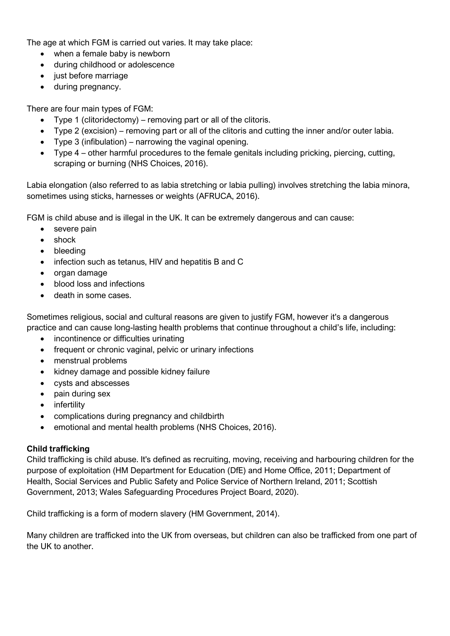The age at which FGM is carried out varies. It may take place:

- when a female baby is newborn
- during childhood or adolescence
- just before marriage
- during pregnancy.

There are four main types of FGM:

- Type 1 (clitoridectomy) removing part or all of the clitoris.
- Type 2 (excision) removing part or all of the clitoris and cutting the inner and/or outer labia.
- Type 3 (infibulation) narrowing the vaginal opening.
- Type 4 other harmful procedures to the female genitals including pricking, piercing, cutting, scraping or burning (NHS Choices, 2016).

Labia elongation (also referred to as labia stretching or labia pulling) involves stretching the labia minora, sometimes using sticks, harnesses or weights (AFRUCA, 2016).

FGM is child abuse and is illegal in the UK. It can be extremely dangerous and can cause:

- severe pain
- shock
- bleeding
- infection such as tetanus, HIV and hepatitis B and C
- organ damage
- blood loss and infections
- death in some cases.

Sometimes religious, social and cultural reasons are given to justify FGM, however it's a dangerous practice and can cause long-lasting health problems that continue throughout a child's life, including:

- incontinence or difficulties urinating
- frequent or chronic vaginal, pelvic or urinary infections
- menstrual problems
- kidney damage and possible kidney failure
- cysts and abscesses
- pain during sex
- infertility
- complications during pregnancy and childbirth
- emotional and mental health problems (NHS Choices, 2016).

## **Child trafficking**

Child trafficking is child abuse. It's defined as recruiting, moving, receiving and harbouring children for the purpose of exploitation (HM Department for Education (DfE) and Home Office, 2011; Department of Health, Social Services and Public Safety and Police Service of Northern Ireland, 2011; Scottish Government, 2013; Wales Safeguarding Procedures Project Board, 2020).

Child trafficking is a form of modern slavery (HM Government, 2014).

Many children are trafficked into the UK from overseas, but children can also be trafficked from one part of the UK to another.